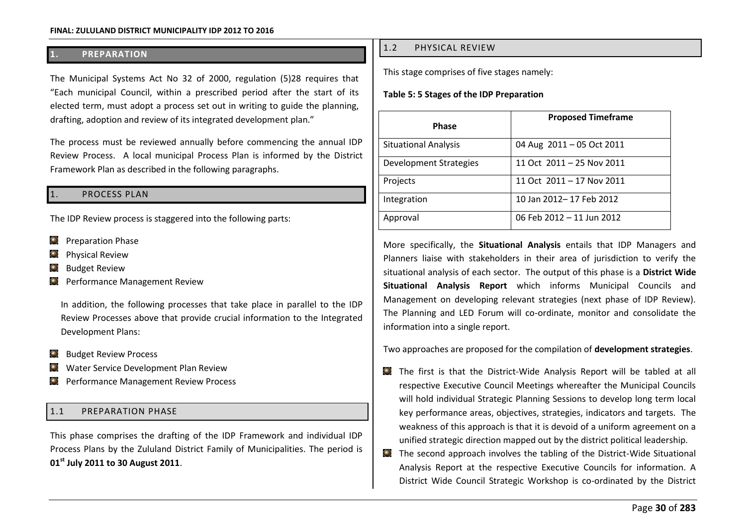## **1. PREPARATION**

The Municipal Systems Act No 32 of 2000, regulation (5)28 requires that "Each municipal Council, within a prescribed period after the start of its elected term, must adopt a process set out in writing to guide the planning, drafting, adoption and review of its integrated development plan."

The process must be reviewed annually before commencing the annual IDP Review Process. A local municipal Process Plan is informed by the District Framework Plan as described in the following paragraphs.

### PROCESS PLAN

The IDP Review process is staggered into the following parts:

- $\odot$ Preparation Phase
- Physical Review
- Budget Review
- **Q** Performance Management Review

In addition, the following processes that take place in parallel to the IDP Review Processes above that provide crucial information to the Integrated Development Plans:

- **Budget Review Process**
- Water Service Development Plan Review
- Performance Management Review Process

### 1.1 PREPARATION PHASE

This phase comprises the drafting of the IDP Framework and individual IDP Process Plans by the Zululand District Family of Municipalities. The period is **01st July 2011 to 30 August 2011**.

### 1.2 PHYSICAL REVIEW

This stage comprises of five stages namely:

#### **Table 5: 5 Stages of the IDP Preparation**

| <b>Phase</b>                | <b>Proposed Timeframe</b> |
|-----------------------------|---------------------------|
| <b>Situational Analysis</b> | 04 Aug 2011 - 05 Oct 2011 |
| Development Strategies      | 11 Oct 2011 - 25 Nov 2011 |
| Projects                    | 11 Oct 2011 - 17 Nov 2011 |
| Integration                 | 10 Jan 2012-17 Feb 2012   |
| Approval                    | 06 Feb 2012 - 11 Jun 2012 |

More specifically, the **Situational Analysis** entails that IDP Managers and Planners liaise with stakeholders in their area of jurisdiction to verify the situational analysis of each sector. The output of this phase is a **District Wide Situational Analysis Report** which informs Municipal Councils and Management on developing relevant strategies (next phase of IDP Review). The Planning and LED Forum will co-ordinate, monitor and consolidate the information into a single report.

Two approaches are proposed for the compilation of **development strategies**.

- The first is that the District-Wide Analysis Report will be tabled at all respective Executive Council Meetings whereafter the Municipal Councils will hold individual Strategic Planning Sessions to develop long term local key performance areas, objectives, strategies, indicators and targets. The weakness of this approach is that it is devoid of a uniform agreement on a unified strategic direction mapped out by the district political leadership.
- The second approach involves the tabling of the District-Wide Situational Analysis Report at the respective Executive Councils for information. A District Wide Council Strategic Workshop is co-ordinated by the District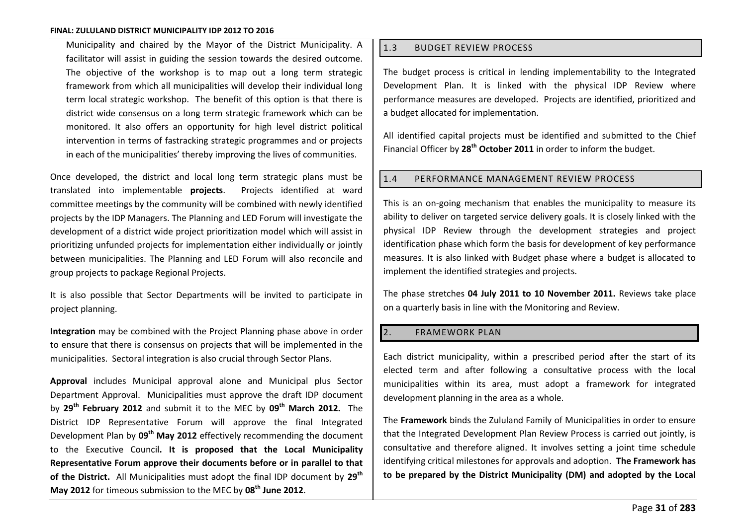Municipality and chaired by the Mayor of the District Municipality. A facilitator will assist in guiding the session towards the desired outcome. The objective of the workshop is to map out a long term strategic framework from which all municipalities will develop their individual long term local strategic workshop. The benefit of this option is that there is district wide consensus on a long term strategic framework which can be monitored. It also offers an opportunity for high level district political intervention in terms of fastracking strategic programmes and or projects in each of the municipalities' thereby improving the lives of communities.

Once developed, the district and local long term strategic plans must be translated into implementable **projects**. Projects identified at ward committee meetings by the community will be combined with newly identified projects by the IDP Managers. The Planning and LED Forum will investigate the development of a district wide project prioritization model which will assist in prioritizing unfunded projects for implementation either individually or jointly between municipalities. The Planning and LED Forum will also reconcile and group projects to package Regional Projects.

It is also possible that Sector Departments will be invited to participate in project planning.

**Integration** may be combined with the Project Planning phase above in order to ensure that there is consensus on projects that will be implemented in the municipalities. Sectoral integration is also crucial through Sector Plans.

**Approval** includes Municipal approval alone and Municipal plus Sector Department Approval. Municipalities must approve the draft IDP document by **29th February 2012** and submit it to the MEC by **09th March 2012.** The District IDP Representative Forum will approve the final Integrated Development Plan by **09th May 2012** effectively recommending the document to the Executive Council**. It is proposed that the Local Municipality Representative Forum approve their documents before or in parallel to that of the District.** All Municipalities must adopt the final IDP document by **29th May 2012** for timeous submission to the MEC by **08th June 2012**.

## 1.3 BUDGET REVIEW PROCESS

The budget process is critical in lending implementability to the Integrated Development Plan. It is linked with the physical IDP Review where performance measures are developed. Projects are identified, prioritized and a budget allocated for implementation.

All identified capital projects must be identified and submitted to the Chief Financial Officer by **28th October 2011** in order to inform the budget.

### 1.4 PERFORMANCE MANAGEMENT REVIEW PROCESS

This is an on-going mechanism that enables the municipality to measure its ability to deliver on targeted service delivery goals. It is closely linked with the physical IDP Review through the development strategies and project identification phase which form the basis for development of key performance measures. It is also linked with Budget phase where a budget is allocated to implement the identified strategies and projects.

The phase stretches **04 July 2011 to 10 November 2011.** Reviews take place on a quarterly basis in line with the Monitoring and Review.

### 2. FRAMEWORK PLAN

Each district municipality, within a prescribed period after the start of its elected term and after following a consultative process with the local municipalities within its area, must adopt a framework for integrated development planning in the area as a whole.

The **Framework** binds the Zululand Family of Municipalities in order to ensure that the Integrated Development Plan Review Process is carried out jointly, is consultative and therefore aligned. It involves setting a joint time schedule identifying critical milestones for approvals and adoption. **The Framework has to be prepared by the District Municipality (DM) and adopted by the Local**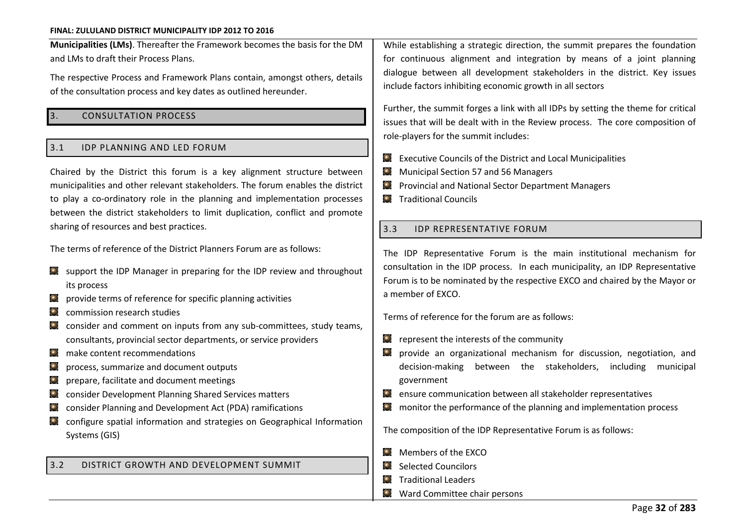**Municipalities (LMs)**. Thereafter the Framework becomes the basis for the DM and LMs to draft their Process Plans.

The respective Process and Framework Plans contain, amongst others, details of the consultation process and key dates as outlined hereunder.

### 3. CONSULTATION PROCESS

#### 3.1 IDP PLANNING AND LED FORUM

Chaired by the District this forum is a key alignment structure between municipalities and other relevant stakeholders. The forum enables the district to play a co-ordinatory role in the planning and implementation processes between the district stakeholders to limit duplication, conflict and promote sharing of resources and best practices.

The terms of reference of the District Planners Forum are as follows:

- $\Box$  support the IDP Manager in preparing for the IDP review and throughout its process
- $\Box$  provide terms of reference for specific planning activities
- $\bullet$  commission research studies
- consider and comment on inputs from any sub-committees, study teams, consultants, provincial sector departments, or service providers
- $\odot$ make content recommendations
- $\bullet$ process, summarize and document outputs
- $\bullet$ prepare, facilitate and document meetings
- consider Development Planning Shared Services matters
- consider Planning and Development Act (PDA) ramifications
- configure spatial information and strategies on Geographical Information Systems (GIS)

#### 3.2 DISTRICT GROWTH AND DEVELOPMENT SUMMIT

While establishing a strategic direction, the summit prepares the foundation for continuous alignment and integration by means of a joint planning dialogue between all development stakeholders in the district. Key issues include factors inhibiting economic growth in all sectors

Further, the summit forges a link with all IDPs by setting the theme for critical issues that will be dealt with in the Review process. The core composition of role-players for the summit includes:

- Executive Councils of the District and Local Municipalities
- **Municipal Section 57 and 56 Managers**
- **C** Provincial and National Sector Department Managers
- **C** Traditional Councils

### 3.3 **IDP REPRESENTATIVE FORUM**

The IDP Representative Forum is the main institutional mechanism for consultation in the IDP process. In each municipality, an IDP Representative Forum is to be nominated by the respective EXCO and chaired by the Mayor or a member of EXCO.

Terms of reference for the forum are as follows:

- $\Omega$  represent the interests of the community
- provide an organizational mechanism for discussion, negotiation, and decision-making between the stakeholders, including municipal government
- ensure communication between all stakeholder representatives  $\left( \bullet \right)$
- monitor the performance of the planning and implementation process  $\bullet$

The composition of the IDP Representative Forum is as follows:

- **Members of the EXCO**
- Selected Councilors
- **Traditional Leaders**
- **Ward Committee chair persons**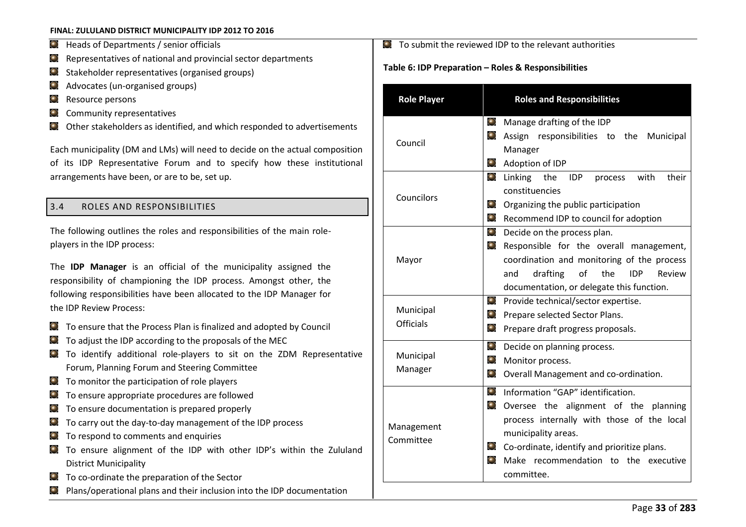- **D** Heads of Departments / senior officials
- Representatives of national and provincial sector departments  $\bullet$
- Stakeholder representatives (organised groups)  $\bigodot$
- Advocates (un-organised groups)  $\bullet$
- Resource persons  $\bullet$
- Community representatives  $\bigodot$
- Other stakeholders as identified, and which responded to advertisements

Each municipality (DM and LMs) will need to decide on the actual composition of its IDP Representative Forum and to specify how these institutional arrangements have been, or are to be, set up.

# 3.4 ROLES AND RESPONSIBILITIES

The following outlines the roles and responsibilities of the main roleplayers in the IDP process:

The **IDP Manager** is an official of the municipality assigned the responsibility of championing the IDP process. Amongst other, the following responsibilities have been allocated to the IDP Manager for the IDP Review Process:

- To ensure that the Process Plan is finalized and adopted by Council
- $\Box$  To adjust the IDP according to the proposals of the MEC
- To identify additional role-players to sit on the ZDM Representative Forum, Planning Forum and Steering Committee
- $\Box$  To monitor the participation of role players
- $\Box$  To ensure appropriate procedures are followed
- $\Box$  To ensure documentation is prepared properly
- To carry out the day-to-day management of the IDP process  $\odot$
- $\Box$  To respond to comments and enquiries
- $\Box$  To ensure alignment of the IDP with other IDP's within the Zululand District Municipality
- $\Box$  To co-ordinate the preparation of the Sector
- Plans/operational plans and their inclusion into the IDP documentation

 $\bullet$  To submit the reviewed IDP to the relevant authorities

## Table 6: IDP Preparation - Roles & Responsibilities

| <b>Role Player</b>            | <b>Roles and Responsibilities</b>                                                                                                                                                                                                                                                                     |  |
|-------------------------------|-------------------------------------------------------------------------------------------------------------------------------------------------------------------------------------------------------------------------------------------------------------------------------------------------------|--|
| Council                       | $\bigodot$<br>Manage drafting of the IDP<br>$\left( \bullet \right)$<br>Assign responsibilities<br>to the<br>Municipal<br>Manager<br>$\left( \bullet \right)$<br>Adoption of IDP                                                                                                                      |  |
| Councilors                    | $\bullet$<br>their<br>Linking the<br>with<br>IDP<br>process<br>constituencies<br>$\bullet$<br>Organizing the public participation<br>Recommend IDP to council for adoption                                                                                                                            |  |
| Mayor                         | Decide on the process plan.<br>$\bullet$<br>Responsible for the overall management,<br>coordination and monitoring of the process<br>drafting<br>of<br>the<br>Review<br>and<br>IDP<br>documentation, or delegate this function.                                                                       |  |
| Municipal<br><b>Officials</b> | $\bullet$<br>Provide technical/sector expertise.<br>$\odot$<br>Prepare selected Sector Plans.<br>$\bullet$<br>Prepare draft progress proposals.                                                                                                                                                       |  |
| Municipal<br>Manager          | $\left( \bullet \right)$<br>Decide on planning process.<br>Monitor process.<br>Overall Management and co-ordination.                                                                                                                                                                                  |  |
| Management<br>Committee       | $\bigodot$<br>Information "GAP" identification.<br>$\odot$<br>Oversee the alignment of the planning<br>process internally with those of the local<br>municipality areas.<br>$\odot$<br>Co-ordinate, identify and prioritize plans.<br>$\bullet$<br>Make recommendation to the executive<br>committee. |  |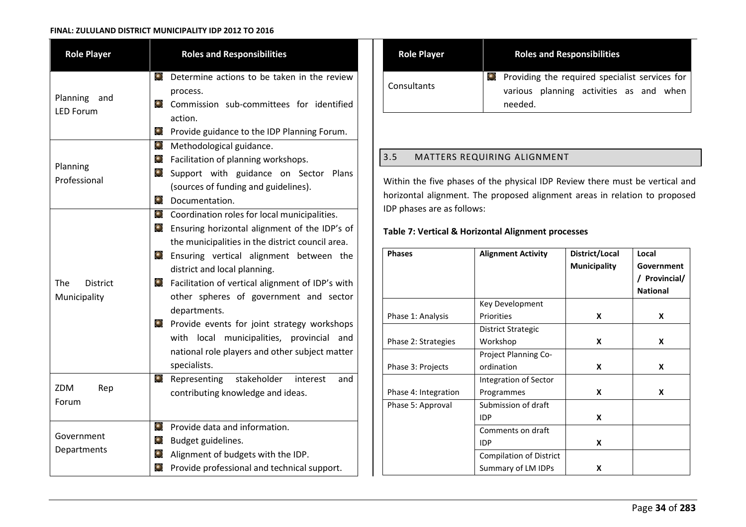| <b>Role Player</b>                            | <b>Roles and Responsibilities</b>                                                                                                                                                                                                                                                                                                                                                                                                                                                                                                                                             |  |
|-----------------------------------------------|-------------------------------------------------------------------------------------------------------------------------------------------------------------------------------------------------------------------------------------------------------------------------------------------------------------------------------------------------------------------------------------------------------------------------------------------------------------------------------------------------------------------------------------------------------------------------------|--|
| Planning<br>and<br><b>LED Forum</b>           | $\left( \bullet \right)$<br>Determine actions to be taken in the review<br>process.<br>$\bullet$<br>Commission sub-committees for identified<br>action.                                                                                                                                                                                                                                                                                                                                                                                                                       |  |
| Planning<br>Professional                      | $\odot$<br>Provide guidance to the IDP Planning Forum.<br>$\odot$<br>Methodological guidance.<br>$\odot$<br>Facilitation of planning workshops.<br>$\odot$<br>Support with guidance on Sector Plans<br>(sources of funding and guidelines).<br>$\odot$<br>Documentation.                                                                                                                                                                                                                                                                                                      |  |
| <b>The</b><br><b>District</b><br>Municipality | $\odot$<br>Coordination roles for local municipalities.<br>$\bigodot$<br>Ensuring horizontal alignment of the IDP's of<br>the municipalities in the district council area.<br>$\bullet$<br>Ensuring vertical alignment between the<br>district and local planning.<br>$\bigodot$<br>Facilitation of vertical alignment of IDP's with<br>other spheres of government and sector<br>departments.<br>$\bigodot$<br>Provide events for joint strategy workshops<br>with local municipalities, provincial<br>and<br>national role players and other subject matter<br>specialists. |  |
| ZDM<br>Rep<br>Forum                           | $\odot$<br>stakeholder<br>Representing<br>and<br>interest<br>contributing knowledge and ideas.                                                                                                                                                                                                                                                                                                                                                                                                                                                                                |  |
| Government<br>Departments                     | $\bigodot$<br>Provide data and information.<br>$\bigodot$<br>Budget guidelines.<br>$\bigodot$<br>Alignment of budgets with the IDP.<br>$\odot$<br>Provide professional and technical support.                                                                                                                                                                                                                                                                                                                                                                                 |  |

| <b>Role Player</b> | <b>Roles and Responsibilities</b>                                                                             |
|--------------------|---------------------------------------------------------------------------------------------------------------|
| Consultants        | <b>O</b> Providing the required specialist services for<br>various planning activities as and when<br>needed. |

# 3.5 MATTERS REQUIRING ALIGNMENT

Within the five phases of the physical IDP Review there must be vertical and horizontal alignment. The proposed alignment areas in relation to proposed IDP phases are as follows:

## **Table 7: Vertical & Horizontal Alignment processes**

| <b>Phases</b>        | <b>Alignment Activity</b>      | District/Local      | Local           |
|----------------------|--------------------------------|---------------------|-----------------|
|                      |                                | <b>Municipality</b> | Government      |
|                      |                                |                     | / Provincial/   |
|                      |                                |                     | <b>National</b> |
|                      | Key Development                |                     |                 |
| Phase 1: Analysis    | Priorities                     | X                   | X               |
|                      | District Strategic             |                     |                 |
| Phase 2: Strategies  | Workshop                       | X                   | X               |
|                      | Project Planning Co-           |                     |                 |
| Phase 3: Projects    | ordination                     | X                   | X               |
|                      | Integration of Sector          |                     |                 |
| Phase 4: Integration | Programmes                     | X                   | X               |
| Phase 5: Approval    | Submission of draft            |                     |                 |
|                      | <b>IDP</b>                     | X                   |                 |
|                      | Comments on draft              |                     |                 |
|                      | <b>IDP</b>                     | X                   |                 |
|                      | <b>Compilation of District</b> |                     |                 |
|                      | Summary of LM IDPs             | X                   |                 |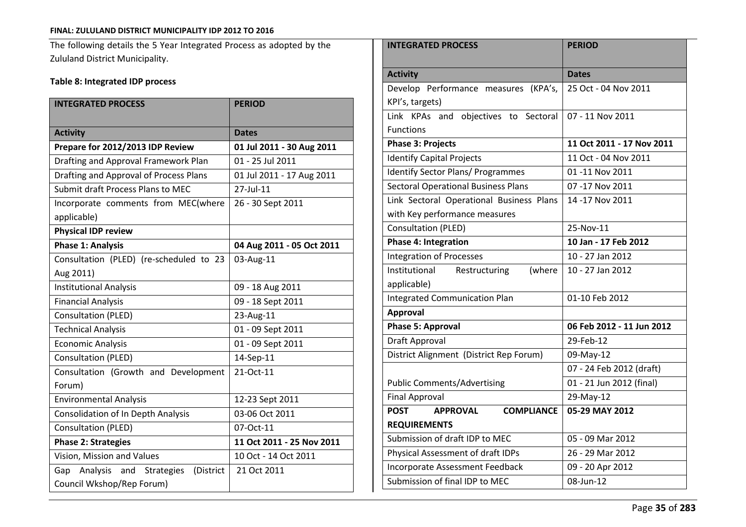The following details the 5 Year Integrated Process as adopted by the Zululand District Municipality.

# **Table 8: Integrated IDP process**

| <b>INTEGRATED PROCESS</b>                                | <b>PERIOD</b>             |  |
|----------------------------------------------------------|---------------------------|--|
| <b>Activity</b>                                          | <b>Dates</b>              |  |
| Prepare for 2012/2013 IDP Review                         | 01 Jul 2011 - 30 Aug 2011 |  |
| Drafting and Approval Framework Plan                     | 01 - 25 Jul 2011          |  |
| Drafting and Approval of Process Plans                   | 01 Jul 2011 - 17 Aug 2011 |  |
| Submit draft Process Plans to MEC                        | 27-Jul-11                 |  |
| Incorporate comments from MEC(where                      | 26 - 30 Sept 2011         |  |
| applicable)                                              |                           |  |
| <b>Physical IDP review</b>                               |                           |  |
| <b>Phase 1: Analysis</b>                                 | 04 Aug 2011 - 05 Oct 2011 |  |
| Consultation (PLED) (re-scheduled to 23                  | 03-Aug-11                 |  |
| Aug 2011)                                                |                           |  |
| <b>Institutional Analysis</b>                            | 09 - 18 Aug 2011          |  |
| <b>Financial Analysis</b>                                | 09 - 18 Sept 2011         |  |
| Consultation (PLED)                                      | 23-Aug-11                 |  |
| <b>Technical Analysis</b>                                | 01 - 09 Sept 2011         |  |
| <b>Economic Analysis</b>                                 | 01 - 09 Sept 2011         |  |
| Consultation (PLED)                                      | 14-Sep-11                 |  |
| Consultation (Growth and Development                     | 21-Oct-11                 |  |
| Forum)                                                   |                           |  |
| <b>Environmental Analysis</b>                            | 12-23 Sept 2011           |  |
| <b>Consolidation of In Depth Analysis</b>                | 03-06 Oct 2011            |  |
| Consultation (PLED)                                      | 07-Oct-11                 |  |
| <b>Phase 2: Strategies</b>                               | 11 Oct 2011 - 25 Nov 2011 |  |
| Vision, Mission and Values                               | 10 Oct - 14 Oct 2011      |  |
| Analysis<br>Gap<br>and<br><b>Strategies</b><br>(District | 21 Oct 2011               |  |
| Council Wkshop/Rep Forum)                                |                           |  |

| <b>INTEGRATED PROCESS</b>                           | <b>PERIOD</b>             |  |
|-----------------------------------------------------|---------------------------|--|
|                                                     |                           |  |
| <b>Activity</b>                                     | <b>Dates</b>              |  |
| Develop Performance measures<br>(KPA's,             | 25 Oct - 04 Nov 2011      |  |
| KPI's, targets)                                     |                           |  |
| Link KPAs and objectives to Sectoral                | 07 - 11 Nov 2011          |  |
| <b>Functions</b>                                    |                           |  |
| <b>Phase 3: Projects</b>                            | 11 Oct 2011 - 17 Nov 2011 |  |
| <b>Identify Capital Projects</b>                    | 11 Oct - 04 Nov 2011      |  |
| <b>Identify Sector Plans/ Programmes</b>            | 01 -11 Nov 2011           |  |
| <b>Sectoral Operational Business Plans</b>          | 07-17 Nov 2011            |  |
| Link Sectoral Operational Business Plans            | 14 -17 Nov 2011           |  |
| with Key performance measures                       |                           |  |
| Consultation (PLED)                                 | 25-Nov-11                 |  |
| <b>Phase 4: Integration</b>                         | 10 Jan - 17 Feb 2012      |  |
| <b>Integration of Processes</b>                     | 10 - 27 Jan 2012          |  |
| Institutional<br>Restructuring<br>(where            | 10 - 27 Jan 2012          |  |
| applicable)                                         |                           |  |
| <b>Integrated Communication Plan</b>                | 01-10 Feb 2012            |  |
| <b>Approval</b>                                     |                           |  |
| <b>Phase 5: Approval</b>                            | 06 Feb 2012 - 11 Jun 2012 |  |
| Draft Approval                                      | 29-Feb-12                 |  |
| District Alignment (District Rep Forum)             | 09-May-12                 |  |
|                                                     | 07 - 24 Feb 2012 (draft)  |  |
| <b>Public Comments/Advertising</b>                  | 01 - 21 Jun 2012 (final)  |  |
| <b>Final Approval</b>                               | 29-May-12                 |  |
| <b>POST</b><br><b>APPROVAL</b><br><b>COMPLIANCE</b> | 05-29 MAY 2012            |  |
| <b>REQUIREMENTS</b>                                 |                           |  |
| Submission of draft IDP to MEC                      | 05 - 09 Mar 2012          |  |
| Physical Assessment of draft IDPs                   | 26 - 29 Mar 2012          |  |
| Incorporate Assessment Feedback                     | 09 - 20 Apr 2012          |  |
| Submission of final IDP to MEC                      | 08-Jun-12                 |  |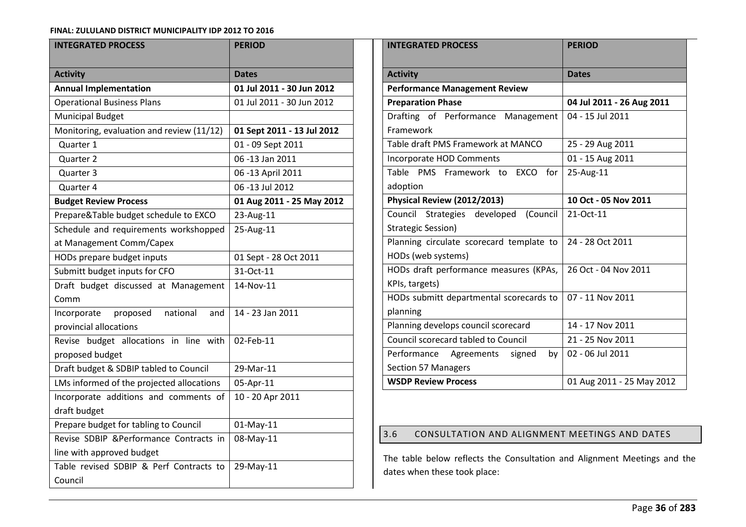| <b>INTEGRATED PROCESS</b>                                    | <b>PERIOD</b>              |  |
|--------------------------------------------------------------|----------------------------|--|
| <b>Activity</b>                                              | <b>Dates</b>               |  |
| <b>Annual Implementation</b>                                 | 01 Jul 2011 - 30 Jun 2012  |  |
| <b>Operational Business Plans</b>                            | 01 Jul 2011 - 30 Jun 2012  |  |
| <b>Municipal Budget</b>                                      |                            |  |
| Monitoring, evaluation and review (11/12)                    | 01 Sept 2011 - 13 Jul 2012 |  |
| Quarter 1                                                    | 01 - 09 Sept 2011          |  |
| Quarter <sub>2</sub>                                         | 06 -13 Jan 2011            |  |
| Quarter 3                                                    | 06 -13 April 2011          |  |
| Quarter 4                                                    | 06 -13 Jul 2012            |  |
| <b>Budget Review Process</b>                                 | 01 Aug 2011 - 25 May 2012  |  |
| Prepare&Table budget schedule to EXCO                        | 23-Aug-11                  |  |
| Schedule and requirements workshopped                        | 25-Aug-11                  |  |
| at Management Comm/Capex                                     |                            |  |
| HODs prepare budget inputs                                   | 01 Sept - 28 Oct 2011      |  |
| Submitt budget inputs for CFO                                | 31-Oct-11                  |  |
| Draft budget discussed at Management                         | 14-Nov-11                  |  |
| Comm                                                         |                            |  |
| national<br>proposed<br>Incorporate<br>and                   | 14 - 23 Jan 2011           |  |
| provincial allocations                                       |                            |  |
| Revise budget allocations in line<br>with<br>proposed budget | 02-Feb-11                  |  |
| Draft budget & SDBIP tabled to Council                       | 29-Mar-11                  |  |
| LMs informed of the projected allocations                    | 05-Apr-11                  |  |
| Incorporate additions and comments of                        | 10 - 20 Apr 2011           |  |
| draft budget                                                 |                            |  |
| Prepare budget for tabling to Council                        | 01-May-11                  |  |
| Revise SDBIP &Performance Contracts in                       | 08-May-11                  |  |
| line with approved budget                                    |                            |  |
| Table revised SDBIP & Perf Contracts to                      | 29-May-11                  |  |
| Council                                                      |                            |  |

| <b>INTEGRATED PROCESS</b>                           | <b>PERIOD</b>             |
|-----------------------------------------------------|---------------------------|
| <b>Activity</b>                                     | <b>Dates</b>              |
| <b>Performance Management Review</b>                |                           |
| <b>Preparation Phase</b>                            | 04 Jul 2011 - 26 Aug 2011 |
|                                                     |                           |
| Drafting of Performance Management                  | 04 - 15 Jul 2011          |
| Framework                                           |                           |
| Table draft PMS Framework at MANCO                  | 25 - 29 Aug 2011          |
| Incorporate HOD Comments                            | 01 - 15 Aug 2011          |
| Table PMS Framework to EXCO for                     | 25-Aug-11                 |
| adoption                                            |                           |
| Physical Review (2012/2013)                         | 10 Oct - 05 Nov 2011      |
| Council Strategies developed (Council               | 21-Oct-11                 |
| Strategic Session)                                  |                           |
| Planning circulate scorecard template to            | 24 - 28 Oct 2011          |
| HODs (web systems)                                  |                           |
| HODs draft performance measures (KPAs,              | 26 Oct - 04 Nov 2011      |
| KPIs, targets)                                      |                           |
| HODs submitt departmental scorecards to             | 07 - 11 Nov 2011          |
| planning                                            |                           |
| Planning develops council scorecard                 | 14 - 17 Nov 2011          |
| <b>Council scorecard tabled to Council</b>          | 21 - 25 Nov 2011          |
| Performance Agreements<br>signed<br>by <sub>1</sub> | 02 - 06 Jul 2011          |
| Section 57 Managers                                 |                           |
| <b>WSDP Review Process</b>                          | 01 Aug 2011 - 25 May 2012 |

# 3.6 CONSULTATION AND ALIGNMENT MEETINGS AND DATES

The table below reflects the Consultation and Alignment Meetings and the dates when these took place: